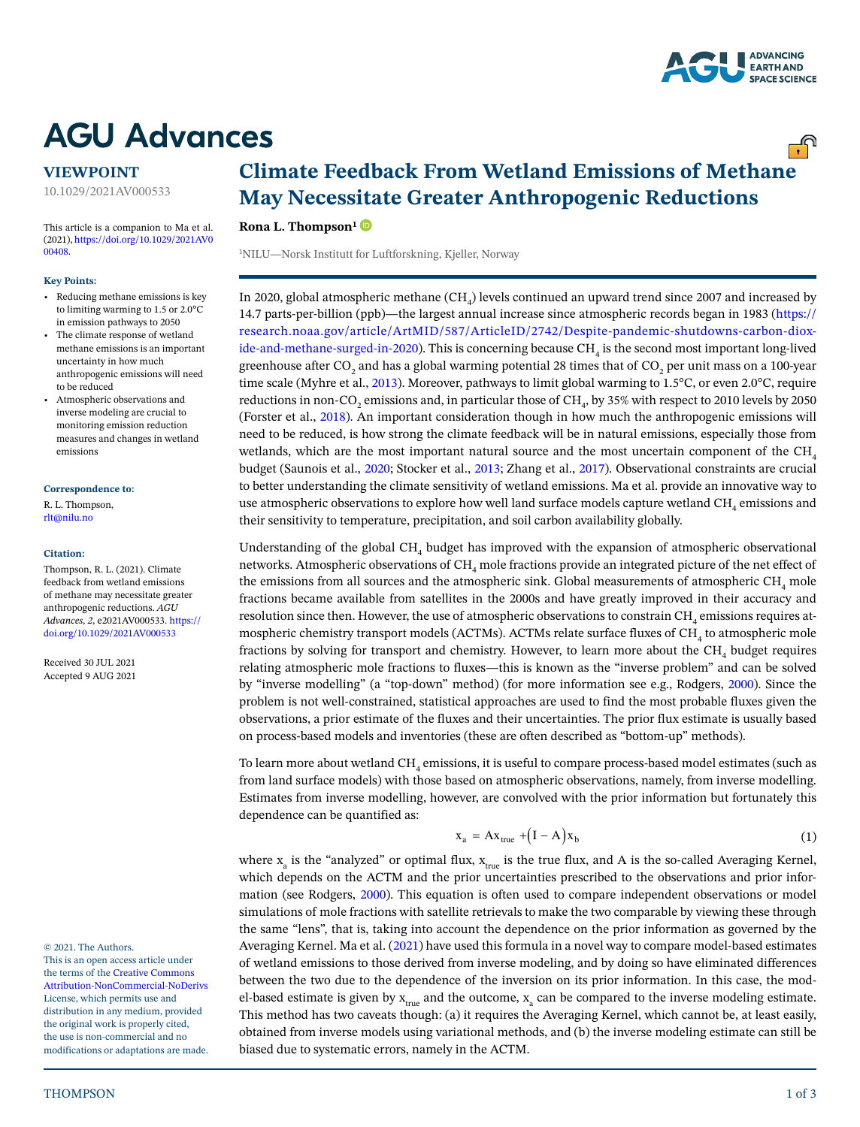

<u>್.</u> ೧

# **AGU Advances**

### **VIEWPOINT**

10.1029/2021AV000533

This article is a companion to Ma et al. (2021), [https://doi.org/10.1029/2021AV0](https://doi.org/10.1029/2021AV000408)  [00408.](https://doi.org/10.1029/2021AV000408)

#### **Key Points:**

- Reducing methane emissions is key to limiting warming to 1.5 or 2.0°C in emission pathways to 2050
- The climate response of wetland methane emissions is an important uncertainty in how much anthropogenic emissions will need to be reduced
- Atmospheric observations and inverse modeling are crucial to monitoring emission reduction measures and changes in wetland emissions

### **Correspondence to:**

R. L. Thompson, rlt@nilu.no

### **Citation:**

Thompson, R. L. (2021). Climate feedback from wetland emissions of methane may necessitate greater anthropogenic reductions. *AGU Advances*, *2*, e2021AV000533. [https://](https://doi.org/10.1029/2021AV000533) [doi.org/10.1029/2021AV000533](https://doi.org/10.1029/2021AV000533)

Received 30 JUL 2021 Accepted 9 AUG 2021

© 2021. The Authors.

This is an open access article under the terms of the [Creative Commons](http://creativecommons.org/licenses/by-nc-nd/4.0/)  [Attribution-NonCommercial-NoDerivs](http://creativecommons.org/licenses/by-nc-nd/4.0/) License, which permits use and distribution in any medium, provided the original work is properly cited, the use is non-commercial and no modifications or adaptations are made.

# **Climate Feedback From Wetland Emissions of Methane May Necessitate Greater Anthropogenic Reductions**

### **Rona L. Thompson[1](https://orcid.org/0000-0001-9485-7176)**

1 NILU—Norsk Institutt for Luftforskning, Kjeller, Norway

In 2020, global atmospheric methane (CH<sub>4</sub>) levels continued an upward trend since 2007 and increased by 14.7 parts-per-billion (ppb)—the largest annual increase since atmospheric records began in 1983 [\(https://](https://research.noaa.gov/article/ArtMID/587/ArticleID/2742/Despite-pandemic-shutdowns-carbon-dioxide-and-methane-surged-in-2020) [research.noaa.gov/article/ArtMID/587/ArticleID/2742/Despite-pandemic-shutdowns-carbon-diox](https://research.noaa.gov/article/ArtMID/587/ArticleID/2742/Despite-pandemic-shutdowns-carbon-dioxide-and-methane-surged-in-2020)[ide-and-methane-surged-in-2020](https://research.noaa.gov/article/ArtMID/587/ArticleID/2742/Despite-pandemic-shutdowns-carbon-dioxide-and-methane-surged-in-2020)). This is concerning because  $\mathrm{CH}_4$  is the second most important long-lived greenhouse after CO<sub>2</sub> and has a global warming potential 28 times that of CO<sub>2</sub> per unit mass on a 100-year time scale (Myhre et al., [2013\)](#page-2-0). Moreover, pathways to limit global warming to 1.5°C, or even 2.0°C, require reductions in non-CO<sub>2</sub> emissions and, in particular those of CH<sub>4</sub>, by 35% with respect to 2010 levels by 2050 (Forster et al., [2018\)](#page-1-0). An important consideration though in how much the anthropogenic emissions will need to be reduced, is how strong the climate feedback will be in natural emissions, especially those from wetlands, which are the most important natural source and the most uncertain component of the  $CH<sub>4</sub>$ budget (Saunois et al., [2020;](#page-2-1) Stocker et al., [2013](#page-2-2); Zhang et al., [2017\)](#page-2-3). Observational constraints are crucial to better understanding the climate sensitivity of wetland emissions. Ma et al. provide an innovative way to use atmospheric observations to explore how well land surface models capture wetland CH<sub>4</sub> emissions and their sensitivity to temperature, precipitation, and soil carbon availability globally.

Understanding of the global CH<sub>4</sub> budget has improved with the expansion of atmospheric observational networks. Atmospheric observations of  $\mathrm{CH}_4$  mole fractions provide an integrated picture of the net effect of the emissions from all sources and the atmospheric sink. Global measurements of atmospheric CH<sub>4</sub> mole fractions became available from satellites in the 2000s and have greatly improved in their accuracy and resolution since then. However, the use of atmospheric observations to constrain  $\mathrm{CH}_4$  emissions requires atmospheric chemistry transport models (ACTMs). ACTMs relate surface fluxes of  $\mathrm{CH}_4$  to atmospheric mole fractions by solving for transport and chemistry. However, to learn more about the CH<sub>4</sub> budget requires relating atmospheric mole fractions to fluxes—this is known as the "inverse problem" and can be solved by "inverse modelling" (a "top-down" method) (for more information see e.g., Rodgers, [2000\)](#page-2-4). Since the problem is not well-constrained, statistical approaches are used to find the most probable fluxes given the observations, a prior estimate of the fluxes and their uncertainties. The prior flux estimate is usually based on process-based models and inventories (these are often described as "bottom-up" methods).

To learn more about wetland CH<sub>4</sub> emissions, it is useful to compare process-based model estimates (such as from land surface models) with those based on atmospheric observations, namely, from inverse modelling. Estimates from inverse modelling, however, are convolved with the prior information but fortunately this dependence can be quantified as:

$$
x_a = Ax_{true} + (I - A)x_b \tag{1}
$$

where  $x_a$  is the "analyzed" or optimal flux,  $x_{true}$  is the true flux, and A is the so-called Averaging Kernel, which depends on the ACTM and the prior uncertainties prescribed to the observations and prior information (see Rodgers, [2000\)](#page-2-4). This equation is often used to compare independent observations or model simulations of mole fractions with satellite retrievals to make the two comparable by viewing these through the same "lens", that is, taking into account the dependence on the prior information as governed by the Averaging Kernel. Ma et al. ([2021\)](#page-2-5) have used this formula in a novel way to compare model-based estimates of wetland emissions to those derived from inverse modeling, and by doing so have eliminated differences between the two due to the dependence of the inversion on its prior information. In this case, the model-based estimate is given by  $x_{true}$  and the outcome,  $x_a$  can be compared to the inverse modeling estimate. This method has two caveats though: (a) it requires the Averaging Kernel, which cannot be, at least easily, obtained from inverse models using variational methods, and (b) the inverse modeling estimate can still be biased due to systematic errors, namely in the ACTM.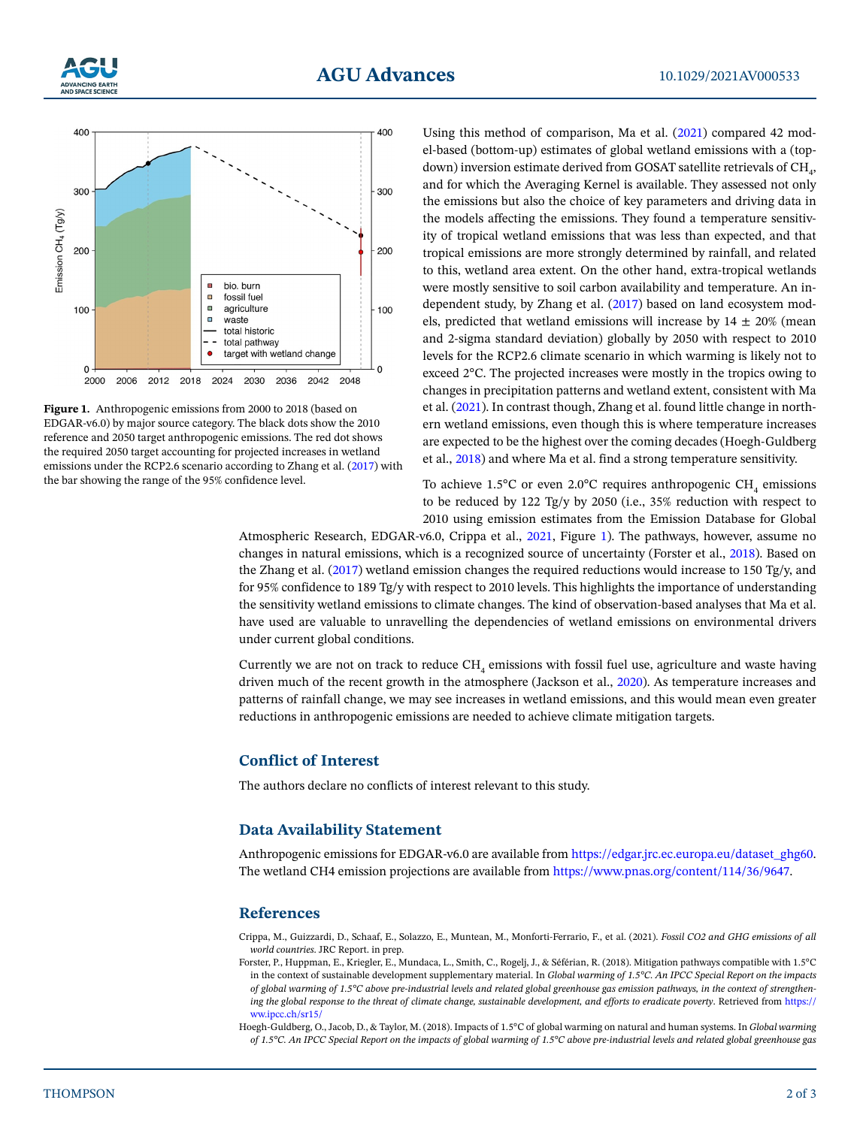



<span id="page-1-3"></span>**Figure 1.** Anthropogenic emissions from 2000 to 2018 (based on EDGAR-v6.0) by major source category. The black dots show the 2010 reference and 2050 target anthropogenic emissions. The red dot shows the required 2050 target accounting for projected increases in wetland emissions under the RCP2.6 scenario according to Zhang et al. ([2017](#page-2-3)) with the bar showing the range of the 95% confidence level.

Using this method of comparison, Ma et al. [\(2021](#page-2-5)) compared 42 model-based (bottom-up) estimates of global wetland emissions with a (topdown) inversion estimate derived from GOSAT satellite retrievals of  $\mathrm{CH}_{4^+}$ and for which the Averaging Kernel is available. They assessed not only the emissions but also the choice of key parameters and driving data in the models affecting the emissions. They found a temperature sensitivity of tropical wetland emissions that was less than expected, and that tropical emissions are more strongly determined by rainfall, and related to this, wetland area extent. On the other hand, extra-tropical wetlands were mostly sensitive to soil carbon availability and temperature. An independent study, by Zhang et al. [\(2017\)](#page-2-3) based on land ecosystem models, predicted that wetland emissions will increase by  $14 \pm 20\%$  (mean and 2-sigma standard deviation) globally by 2050 with respect to 2010 levels for the RCP2.6 climate scenario in which warming is likely not to exceed 2°C. The projected increases were mostly in the tropics owing to changes in precipitation patterns and wetland extent, consistent with Ma et al. ([2021\)](#page-2-5). In contrast though, Zhang et al. found little change in northern wetland emissions, even though this is where temperature increases are expected to be the highest over the coming decades (Hoegh-Guldberg et al., [2018](#page-1-1)) and where Ma et al. find a strong temperature sensitivity.

To achieve 1.5°C or even 2.0°C requires anthropogenic  $\text{CH}_4$  emissions to be reduced by 122 Tg/y by 2050 (i.e., 35% reduction with respect to 2010 using emission estimates from the Emission Database for Global

Atmospheric Research, EDGAR-v6.0, Crippa et al., [2021](#page-1-2), Figure [1](#page-1-3)). The pathways, however, assume no changes in natural emissions, which is a recognized source of uncertainty (Forster et al., [2018\)](#page-1-0). Based on the Zhang et al. [\(2017](#page-2-3)) wetland emission changes the required reductions would increase to 150 Tg/y, and for 95% confidence to 189 Tg/y with respect to 2010 levels. This highlights the importance of understanding the sensitivity wetland emissions to climate changes. The kind of observation-based analyses that Ma et al. have used are valuable to unravelling the dependencies of wetland emissions on environmental drivers under current global conditions.

Currently we are not on track to reduce  $\mathrm{CH}_4$  emissions with fossil fuel use, agriculture and waste having driven much of the recent growth in the atmosphere (Jackson et al., [2020](#page-2-6)). As temperature increases and patterns of rainfall change, we may see increases in wetland emissions, and this would mean even greater reductions in anthropogenic emissions are needed to achieve climate mitigation targets.

# **Conflict of Interest**

The authors declare no conflicts of interest relevant to this study.

## **Data Availability Statement**

Anthropogenic emissions for EDGAR-v6.0 are available from [https://edgar.jrc.ec.europa.eu/dataset\\_ghg60](https://edgar.jrc.ec.europa.eu/dataset_ghg60). The wetland CH4 emission projections are available from [https://www.pnas.org/content/114/36/9647.](https://www.pnas.org/content/114/36/9647)

### **References**

<span id="page-1-2"></span>Crippa, M., Guizzardi, D., Schaaf, E., Solazzo, E., Muntean, M., Monforti-Ferrario, F., et al. (2021). *Fossil CO2 and GHG emissions of all world countries*. JRC Report. in prep.

- <span id="page-1-0"></span>Forster, P., Huppman, E., Kriegler, E., Mundaca, L., Smith, C., Rogelj, J., & Séférian, R. (2018). Mitigation pathways compatible with 1.5°C in the context of sustainable development supplementary material. In *Global warming of 1.5°C. An IPCC Special Report on the impacts of global warming of 1.5°C above pre-industrial levels and related global greenhouse gas emission pathways, in the context of strengthening the global response to the threat of climate change, sustainable development, and efforts to eradicate poverty*. Retrieved from [https://](https://www.ipcc.ch/sr15/) [ww.ipcc.ch/sr15/](https://www.ipcc.ch/sr15/)
- <span id="page-1-1"></span>Hoegh-Guldberg, O., Jacob, D., & Taylor, M. (2018). Impacts of 1.5°C of global warming on natural and human systems. In *Global warming of 1.5°C. An IPCC Special Report on the impacts of global warming of 1.5°C above pre-industrial levels and related global greenhouse gas*